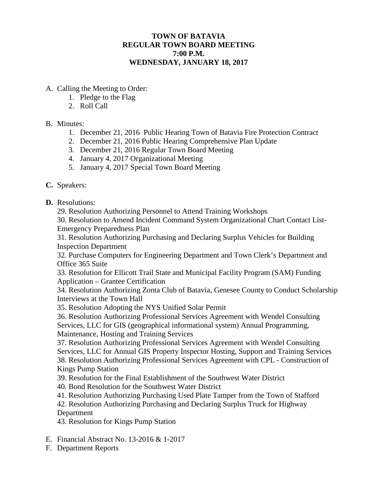# **TOWN OF BATAVIA REGULAR TOWN BOARD MEETING 7:00 P.M. WEDNESDAY, JANUARY 18, 2017**

## A. Calling the Meeting to Order:

- 1. Pledge to the Flag
- 2. Roll Call

## B. Minutes:

- 1. December 21, 2016 Public Hearing Town of Batavia Fire Protection Contract
- 2. December 21, 2016 Public Hearing Comprehensive Plan Update
- 3. December 21, 2016 Regular Town Board Meeting
- 4. January 4, 2017 Organizational Meeting
- 5. January 4, 2017 Special Town Board Meeting

# **C.** Speakers:

**D.** Resolutions:

29. Resolution Authorizing Personnel to Attend Training Workshops

30. Resolution to Amend Incident Command System Organizational Chart Contact List-Emergency Preparedness Plan

31. Resolution Authorizing Purchasing and Declaring Surplus Vehicles for Building Inspection Department

32. Purchase Computers for Engineering Department and Town Clerk's Department and Office 365 Suite

33. Resolution for Ellicott Trail State and Municipal Facility Program (SAM) Funding Application – Grantee Certification

34. Resolution Authorizing Zonta Club of Batavia, Genesee County to Conduct Scholarship Interviews at the Town Hall

35. Resolution Adopting the NYS Unified Solar Permit

36. Resolution Authorizing Professional Services Agreement with Wendel Consulting Services, LLC for GIS (geographical informational system) Annual Programming, Maintenance, Hosting and Training Services

37. Resolution Authorizing Professional Services Agreement with Wendel Consulting Services, LLC for Annual GIS Property Inspector Hosting, Support and Training Services 38. Resolution Authorizing Professional Services Agreement with CPL - Construction of Kings Pump Station

39. Resolution for the Final Establishment of the Southwest Water District

- 40. Bond Resolution for the Southwest Water District
- 41. Resolution Authorizing Purchasing Used Plate Tamper from the Town of Stafford

42. Resolution Authorizing Purchasing and Declaring Surplus Truck for Highway Department

43. Resolution for Kings Pump Station

- E. Financial Abstract No. 13-2016 & 1-2017
- F. Department Reports